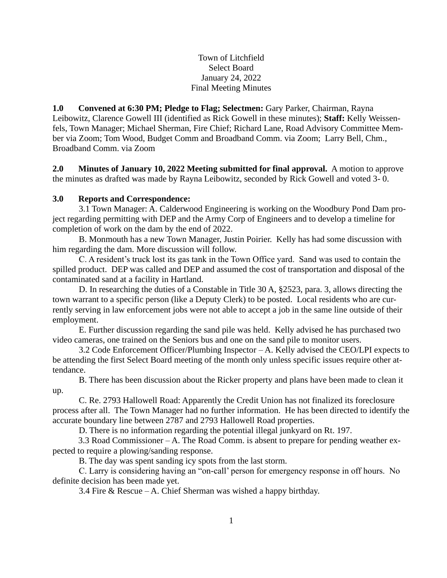Town of Litchfield Select Board January 24, 2022 Final Meeting Minutes

**1.0 Convened at 6:30 PM; Pledge to Flag; Selectmen:** Gary Parker, Chairman, Rayna Leibowitz, Clarence Gowell III (identified as Rick Gowell in these minutes); **Staff:** Kelly Weissenfels, Town Manager; Michael Sherman, Fire Chief; Richard Lane, Road Advisory Committee Member via Zoom; Tom Wood, Budget Comm and Broadband Comm. via Zoom; Larry Bell, Chm., Broadband Comm. via Zoom

**2.0 Minutes of January 10, 2022 Meeting submitted for final approval.** A motion to approve the minutes as drafted was made by Rayna Leibowitz, seconded by Rick Gowell and voted 3- 0.

## **3.0 Reports and Correspondence:**

3.1 Town Manager: A. Calderwood Engineering is working on the Woodbury Pond Dam project regarding permitting with DEP and the Army Corp of Engineers and to develop a timeline for completion of work on the dam by the end of 2022.

B. Monmouth has a new Town Manager, Justin Poirier. Kelly has had some discussion with him regarding the dam. More discussion will follow.

C. A resident's truck lost its gas tank in the Town Office yard. Sand was used to contain the spilled product. DEP was called and DEP and assumed the cost of transportation and disposal of the contaminated sand at a facility in Hartland.

D. In researching the duties of a Constable in Title 30 A, §2523, para. 3, allows directing the town warrant to a specific person (like a Deputy Clerk) to be posted. Local residents who are currently serving in law enforcement jobs were not able to accept a job in the same line outside of their employment.

E. Further discussion regarding the sand pile was held. Kelly advised he has purchased two video cameras, one trained on the Seniors bus and one on the sand pile to monitor users.

3.2 Code Enforcement Officer/Plumbing Inspector – A. Kelly advised the CEO/LPI expects to be attending the first Select Board meeting of the month only unless specific issues require other attendance.

B. There has been discussion about the Ricker property and plans have been made to clean it up.

C. Re. 2793 Hallowell Road: Apparently the Credit Union has not finalized its foreclosure process after all. The Town Manager had no further information. He has been directed to identify the accurate boundary line between 2787 and 2793 Hallowell Road properties.

D. There is no information regarding the potential illegal junkyard on Rt. 197.

3.3 Road Commissioner – A. The Road Comm. is absent to prepare for pending weather expected to require a plowing/sanding response.

B. The day was spent sanding icy spots from the last storm.

C. Larry is considering having an "on-call' person for emergency response in off hours. No definite decision has been made yet.

3.4 Fire & Rescue – A. Chief Sherman was wished a happy birthday.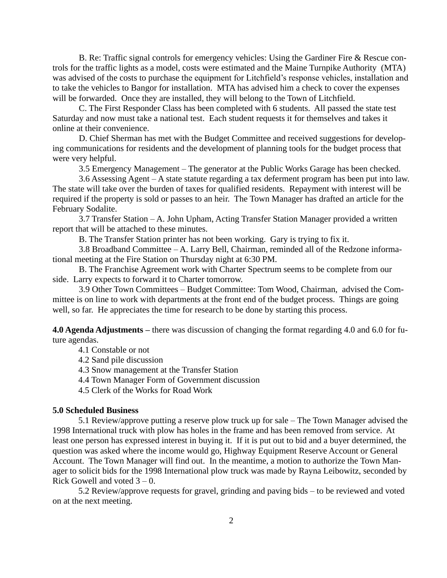B. Re: Traffic signal controls for emergency vehicles: Using the Gardiner Fire & Rescue controls for the traffic lights as a model, costs were estimated and the Maine Turnpike Authority (MTA) was advised of the costs to purchase the equipment for Litchfield's response vehicles, installation and to take the vehicles to Bangor for installation. MTA has advised him a check to cover the expenses will be forwarded. Once they are installed, they will belong to the Town of Litchfield.

C. The First Responder Class has been completed with 6 students. All passed the state test Saturday and now must take a national test. Each student requests it for themselves and takes it online at their convenience.

D. Chief Sherman has met with the Budget Committee and received suggestions for developing communications for residents and the development of planning tools for the budget process that were very helpful.

3.5 Emergency Management – The generator at the Public Works Garage has been checked.

3.6 Assessing Agent – A state statute regarding a tax deferment program has been put into law. The state will take over the burden of taxes for qualified residents. Repayment with interest will be required if the property is sold or passes to an heir. The Town Manager has drafted an article for the February Sodalite.

3.7 Transfer Station – A. John Upham, Acting Transfer Station Manager provided a written report that will be attached to these minutes.

B. The Transfer Station printer has not been working. Gary is trying to fix it.

3.8 Broadband Committee – A. Larry Bell, Chairman, reminded all of the Redzone informational meeting at the Fire Station on Thursday night at 6:30 PM.

B. The Franchise Agreement work with Charter Spectrum seems to be complete from our side. Larry expects to forward it to Charter tomorrow.

3.9 Other Town Committees – Budget Committee: Tom Wood, Chairman, advised the Committee is on line to work with departments at the front end of the budget process. Things are going well, so far. He appreciates the time for research to be done by starting this process.

**4.0 Agenda Adjustments –** there was discussion of changing the format regarding 4.0 and 6.0 for future agendas.

4.1 Constable or not

4.2 Sand pile discussion

4.3 Snow management at the Transfer Station

4.4 Town Manager Form of Government discussion

4.5 Clerk of the Works for Road Work

### **5.0 Scheduled Business**

5.1 Review/approve putting a reserve plow truck up for sale – The Town Manager advised the 1998 International truck with plow has holes in the frame and has been removed from service. At least one person has expressed interest in buying it. If it is put out to bid and a buyer determined, the question was asked where the income would go, Highway Equipment Reserve Account or General Account. The Town Manager will find out. In the meantime, a motion to authorize the Town Manager to solicit bids for the 1998 International plow truck was made by Rayna Leibowitz, seconded by Rick Gowell and voted  $3 - 0$ .

5.2 Review/approve requests for gravel, grinding and paving bids – to be reviewed and voted on at the next meeting.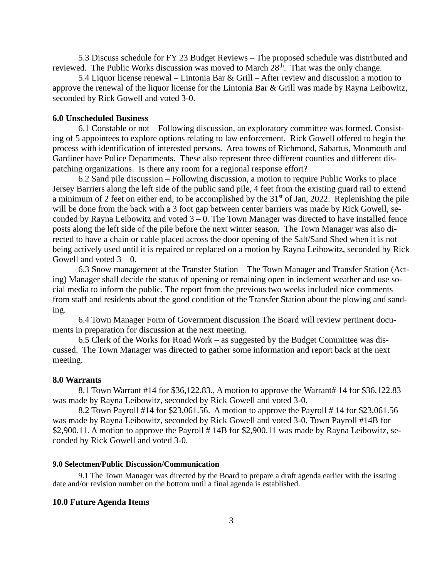5.3 Discuss schedule for FY 23 Budget Reviews – The proposed schedule was distributed and reviewed. The Public Works discussion was moved to March  $28<sup>th</sup>$ . That was the only change.

5.4 Liquor license renewal – Lintonia Bar & Grill – After review and discussion a motion to approve the renewal of the liquor license for the Lintonia Bar & Grill was made by Rayna Leibowitz, seconded by Rick Gowell and voted 3-0.

## **6.0 Unscheduled Business**

6.1 Constable or not – Following discussion, an exploratory committee was formed. Consisting of 5 appointees to explore options relating to law enforcement. Rick Gowell offered to begin the process with identification of interested persons. Area towns of Richmond, Sabattus, Monmouth and Gardiner have Police Departments. These also represent three different counties and different dispatching organizations. Is there any room for a regional response effort?

6.2 Sand pile discussion – Following discussion, a motion to require Public Works to place Jersey Barriers along the left side of the public sand pile, 4 feet from the existing guard rail to extend a minimum of 2 feet on either end, to be accomplished by the 31<sup>st</sup> of Jan, 2022. Replenishing the pile will be done from the back with a 3 foot gap between center barriers was made by Rick Gowell, seconded by Rayna Leibowitz and voted  $3 - 0$ . The Town Manager was directed to have installed fence posts along the left side of the pile before the next winter season. The Town Manager was also directed to have a chain or cable placed across the door opening of the Salt/Sand Shed when it is not being actively used until it is repaired or replaced on a motion by Rayna Leibowitz, seconded by Rick Gowell and voted  $3 - 0$ .

6.3 Snow management at the Transfer Station – The Town Manager and Transfer Station (Acting) Manager shall decide the status of opening or remaining open in inclement weather and use social media to inform the public. The report from the previous two weeks included nice comments from staff and residents about the good condition of the Transfer Station about the plowing and sanding.

6.4 Town Manager Form of Government discussion The Board will review pertinent documents in preparation for discussion at the next meeting.

6.5 Clerk of the Works for Road Work – as suggested by the Budget Committee was discussed. The Town Manager was directed to gather some information and report back at the next meeting.

#### **8.0 Warrants**

8.1 Town Warrant #14 for \$36,122.83., A motion to approve the Warrant# 14 for \$36,122.83 was made by Rayna Leibowitz, seconded by Rick Gowell and voted 3-0.

8.2 Town Payroll #14 for \$23,061.56. A motion to approve the Payroll # 14 for \$23,061.56 was made by Rayna Leibowitz, seconded by Rick Gowell and voted 3-0. Town Payroll #14B for \$2,900.11. A motion to approve the Payroll #14B for \$2,900.11 was made by Rayna Leibowitz, seconded by Rick Gowell and voted 3-0.

#### **9.0 Selectmen/Public Discussion/Communication**

9.1 The Town Manager was directed by the Board to prepare a draft agenda earlier with the issuing date and/or revision number on the bottom until a final agenda is established.

### **10.0 Future Agenda Items**